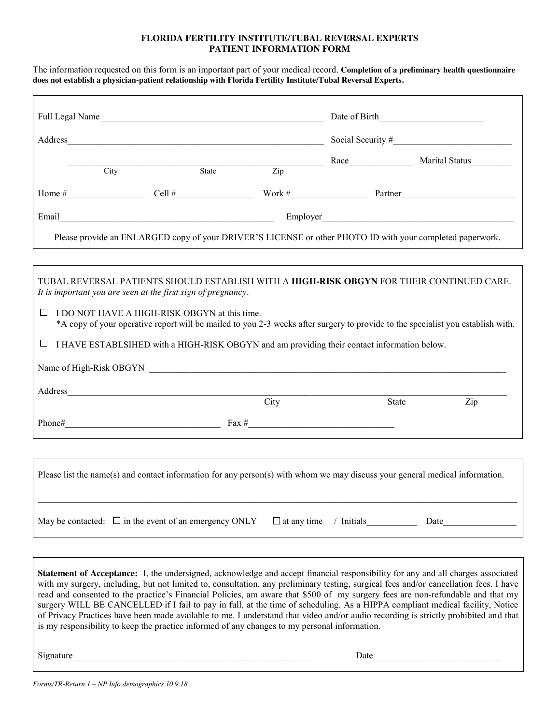#### **FLORIDA FERTILITY INSTITUTE/TUBAL REVERSAL EXPERTS PATIENT INFORMATION FORM**

The information requested on this form is an important part of your medical record. **Completion of a preliminary health questionnaire does not establish a physician-patient relationship with Florida Fertility Institute/Tubal Reversal Experts.**

| City                                                                                                                                                                                                                                                                                                                                                                                                             |                                                            | State | $\overline{Zip}$   |              |       |      |
|------------------------------------------------------------------------------------------------------------------------------------------------------------------------------------------------------------------------------------------------------------------------------------------------------------------------------------------------------------------------------------------------------------------|------------------------------------------------------------|-------|--------------------|--------------|-------|------|
|                                                                                                                                                                                                                                                                                                                                                                                                                  |                                                            |       |                    |              |       |      |
|                                                                                                                                                                                                                                                                                                                                                                                                                  |                                                            |       |                    |              |       |      |
| Please provide an ENLARGED copy of your DRIVER'S LICENSE or other PHOTO ID with your completed paperwork.                                                                                                                                                                                                                                                                                                        |                                                            |       |                    |              |       |      |
|                                                                                                                                                                                                                                                                                                                                                                                                                  |                                                            |       |                    |              |       |      |
| TUBAL REVERSAL PATIENTS SHOULD ESTABLISH WITH A HIGH-RISK OBGYN FOR THEIR CONTINUED CARE.<br>It is important you are seen at the first sign of pregnancy.                                                                                                                                                                                                                                                        |                                                            |       |                    |              |       |      |
| I DO NOT HAVE A HIGH-RISK OBGYN at this time.<br>Ш<br>*A copy of your operative report will be mailed to you 2-3 weeks after surgery to provide to the specialist you establish with.                                                                                                                                                                                                                            |                                                            |       |                    |              |       |      |
| I HAVE ESTABLSIHED with a HIGH-RISK OBGYN and am providing their contact information below.                                                                                                                                                                                                                                                                                                                      |                                                            |       |                    |              |       |      |
|                                                                                                                                                                                                                                                                                                                                                                                                                  |                                                            |       |                    |              |       |      |
|                                                                                                                                                                                                                                                                                                                                                                                                                  |                                                            |       |                    |              |       |      |
|                                                                                                                                                                                                                                                                                                                                                                                                                  | Address_ https://www.archive.com/2010/01/2010              | City  |                    |              | State | Zip  |
|                                                                                                                                                                                                                                                                                                                                                                                                                  |                                                            |       |                    |              |       |      |
|                                                                                                                                                                                                                                                                                                                                                                                                                  |                                                            |       |                    |              |       |      |
| Please list the name(s) and contact information for any person(s) with whom we may discuss your general medical information.                                                                                                                                                                                                                                                                                     |                                                            |       |                    |              |       |      |
|                                                                                                                                                                                                                                                                                                                                                                                                                  | May be contacted: $\Box$ in the event of an emergency ONLY |       | $\Box$ at any time | $/$ Initials |       | Date |
|                                                                                                                                                                                                                                                                                                                                                                                                                  |                                                            |       |                    |              |       |      |
| <b>Statement of Acceptance:</b> I, the undersigned, acknowledge and accept financial responsibility for any and all charges associated<br>with my surgery, including, but not limited to, consultation, any preliminary testing, surgical fees and/or cancellation fees. I have<br>read and consented to the practice's Financial Policies am aware that \$500 of my surgery fees are non-refundable and that my |                                                            |       |                    |              |       |      |

read and consented to the practice's Financial Policies, am aware that \$500 of my surgery fees are non-refundable and that my surgery WILL BE CANCELLED if I fail to pay in full, at the time of scheduling. As a HIPPA compliant medical facility, Notice of Privacy Practices have been made available to me. I understand that video and/or audio recording is strictly prohibited and that is my responsibility to keep the practice informed of any changes to my personal information.

Signature\_\_\_\_\_\_\_\_\_\_\_\_\_\_\_\_\_\_\_\_\_\_\_\_\_\_\_\_\_\_\_\_\_\_\_\_\_\_\_\_\_\_\_\_\_\_\_\_\_\_\_\_ Date\_\_\_\_\_\_\_\_\_\_\_\_\_\_\_\_\_\_\_\_\_\_\_\_\_\_\_\_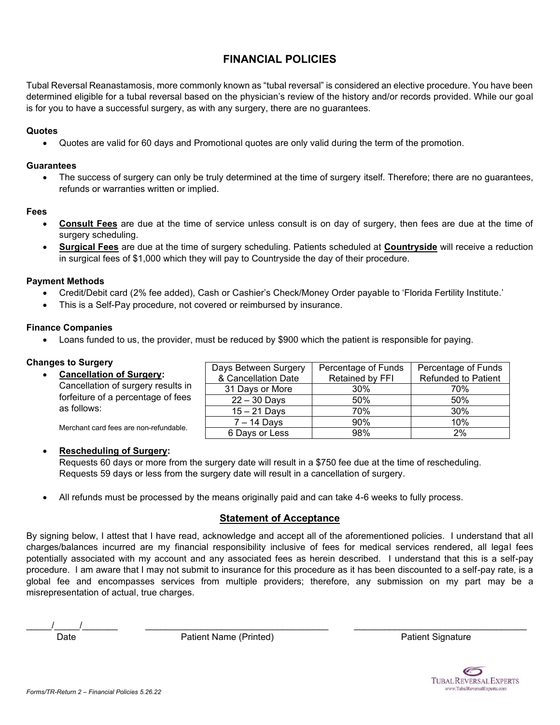# **FINANCIAL POLICIES**

Tubal Reversal Reanastamosis, more commonly known as "tubal reversal" is considered an elective procedure. You have been determined eligible for a tubal reversal based on the physician's review of the history and/or records provided. While our goal is for you to have a successful surgery, as with any surgery, there are no guarantees.

## **Quotes**

• Quotes are valid for 60 days and Promotional quotes are only valid during the term of the promotion.

## **Guarantees**

• The success of surgery can only be truly determined at the time of surgery itself. Therefore; there are no guarantees, refunds or warranties written or implied.

## **Fees**

- **Consult Fees** are due at the time of service unless consult is on day of surgery, then fees are due at the time of surgery scheduling.
- **Surgical Fees** are due at the time of surgery scheduling. Patients scheduled at **Countryside** will receive a reduction in surgical fees of \$1,000 which they will pay to Countryside the day of their procedure.

## **Payment Methods**

- Credit/Debit card (2% fee added), Cash or Cashier's Check/Money Order payable to 'Florida Fertility Institute.'
- This is a Self-Pay procedure, not covered or reimbursed by insurance.

## **Finance Companies**

• Loans funded to us, the provider, must be reduced by \$900 which the patient is responsible for paying.

## **Changes to Surgery**

• **Cancellation of Surgery:** Cancellation of surgery results in forfeiture of a percentage of fees as follows: Merchant card fees are non-refundable. & Cancellation Date Retained by FFI Refunded to Patient 31 Days or More 30% 70% 22 – 30 Days | 50% | 50% 15 – 21 Days 70% 30% 7 – 14 Days | 90% | 10%

## • **Rescheduling of Surgery:**

Requests 60 days or more from the surgery date will result in a \$750 fee due at the time of rescheduling. Requests 59 days or less from the surgery date will result in a cancellation of surgery.

• All refunds must be processed by the means originally paid and can take 4-6 weeks to fully process.

## **Statement of Acceptance**

By signing below, I attest that I have read, acknowledge and accept all of the aforementioned policies. I understand that all charges/balances incurred are my financial responsibility inclusive of fees for medical services rendered, all legal fees potentially associated with my account and any associated fees as herein described. I understand that this is a self-pay procedure. I am aware that I may not submit to insurance for this procedure as it has been discounted to a self-pay rate, is a global fee and encompasses services from multiple providers; therefore, any submission on my part may be a misrepresentation of actual, true charges.

 $\overline{\phantom{a}}$  ,  $\overline{\phantom{a}}$  ,  $\overline{\phantom{a}}$  ,  $\overline{\phantom{a}}$  ,  $\overline{\phantom{a}}$  ,  $\overline{\phantom{a}}$  ,  $\overline{\phantom{a}}$  ,  $\overline{\phantom{a}}$  ,  $\overline{\phantom{a}}$  ,  $\overline{\phantom{a}}$  ,  $\overline{\phantom{a}}$  ,  $\overline{\phantom{a}}$  ,  $\overline{\phantom{a}}$  ,  $\overline{\phantom{a}}$  ,  $\overline{\phantom{a}}$  ,  $\overline{\phantom{a}}$ 

Date **Patient Name (Printed)** Patient Signature Printed Patient Signature



| Days Between Surgery | Percentage of Funds | Percentage of Funds        |
|----------------------|---------------------|----------------------------|
| & Cancellation Date  | Retained by FFI     | <b>Refunded to Patient</b> |
| 31 Days or More      | 30%                 | 70%                        |
| $22 - 30$ Days       | 50%                 | 50%                        |
| $15 - 21$ Days       | 70%                 | 30%                        |
| $7 - 14$ Days        | 90%                 | 10%                        |
| 6 Days or Less       | 98%                 | 2%                         |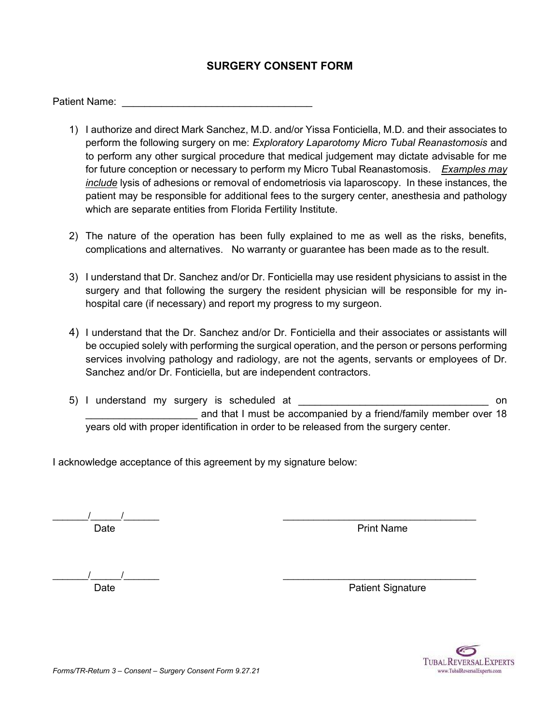## **SURGERY CONSENT FORM**

Patient Name:

- 1) I authorize and direct Mark Sanchez, M.D. and/or Yissa Fonticiella, M.D. and their associates to perform the following surgery on me: *Exploratory Laparotomy Micro Tubal Reanastomosis* and to perform any other surgical procedure that medical judgement may dictate advisable for me for future conception or necessary to perform my Micro Tubal Reanastomosis. *Examples may include* lysis of adhesions or removal of endometriosis via laparoscopy. In these instances, the patient may be responsible for additional fees to the surgery center, anesthesia and pathology which are separate entities from Florida Fertility Institute.
- 2) The nature of the operation has been fully explained to me as well as the risks, benefits, complications and alternatives. No warranty or guarantee has been made as to the result.
- 3) I understand that Dr. Sanchez and/or Dr. Fonticiella may use resident physicians to assist in the surgery and that following the surgery the resident physician will be responsible for my inhospital care (if necessary) and report my progress to my surgeon.
- 4) I understand that the Dr. Sanchez and/or Dr. Fonticiella and their associates or assistants will be occupied solely with performing the surgical operation, and the person or persons performing services involving pathology and radiology, are not the agents, servants or employees of Dr. Sanchez and/or Dr. Fonticiella, but are independent contractors.
- 5) I understand my surgery is scheduled at  $\Box$ and that I must be accompanied by a friend/family member over 18 years old with proper identification in order to be released from the surgery center.

I acknowledge acceptance of this agreement by my signature below:

 $\frac{1}{2}$  ,  $\frac{1}{2}$  ,  $\frac{1}{2}$  ,  $\frac{1}{2}$  ,  $\frac{1}{2}$  ,  $\frac{1}{2}$  ,  $\frac{1}{2}$  ,  $\frac{1}{2}$  ,  $\frac{1}{2}$  ,  $\frac{1}{2}$  ,  $\frac{1}{2}$  ,  $\frac{1}{2}$  ,  $\frac{1}{2}$  ,  $\frac{1}{2}$  ,  $\frac{1}{2}$  ,  $\frac{1}{2}$  ,  $\frac{1}{2}$  ,  $\frac{1}{2}$  ,  $\frac{1$ Date **Date** Print Name

 $\frac{1}{2}$  ,  $\frac{1}{2}$  ,  $\frac{1}{2}$  ,  $\frac{1}{2}$  ,  $\frac{1}{2}$  ,  $\frac{1}{2}$  ,  $\frac{1}{2}$  ,  $\frac{1}{2}$  ,  $\frac{1}{2}$  ,  $\frac{1}{2}$  ,  $\frac{1}{2}$  ,  $\frac{1}{2}$  ,  $\frac{1}{2}$  ,  $\frac{1}{2}$  ,  $\frac{1}{2}$  ,  $\frac{1}{2}$  ,  $\frac{1}{2}$  ,  $\frac{1}{2}$  ,  $\frac{1$ 

Date **Date Patient Signature** 

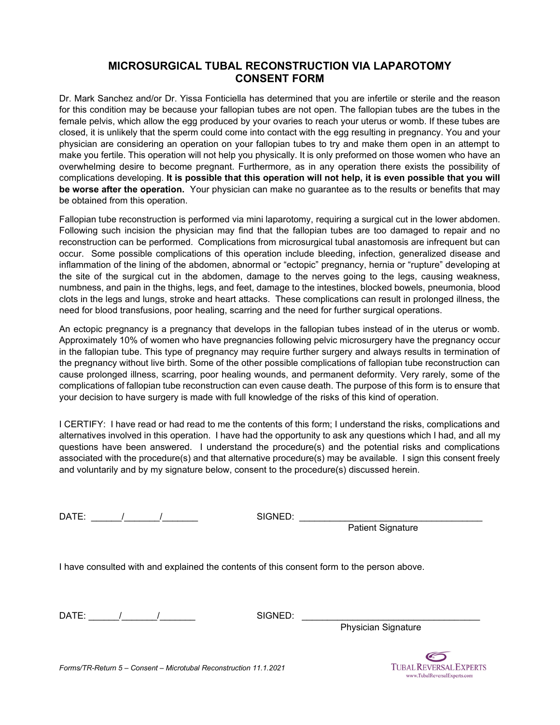## **MICROSURGICAL TUBAL RECONSTRUCTION VIA LAPAROTOMY CONSENT FORM**

Dr. Mark Sanchez and/or Dr. Yissa Fonticiella has determined that you are infertile or sterile and the reason for this condition may be because your fallopian tubes are not open. The fallopian tubes are the tubes in the female pelvis, which allow the egg produced by your ovaries to reach your uterus or womb. If these tubes are closed, it is unlikely that the sperm could come into contact with the egg resulting in pregnancy. You and your physician are considering an operation on your fallopian tubes to try and make them open in an attempt to make you fertile. This operation will not help you physically. It is only preformed on those women who have an overwhelming desire to become pregnant. Furthermore, as in any operation there exists the possibility of complications developing. **It is possible that this operation will not help, it is even possible that you will be worse after the operation.** Your physician can make no guarantee as to the results or benefits that may be obtained from this operation.

Fallopian tube reconstruction is performed via mini laparotomy, requiring a surgical cut in the lower abdomen. Following such incision the physician may find that the fallopian tubes are too damaged to repair and no reconstruction can be performed. Complications from microsurgical tubal anastomosis are infrequent but can occur. Some possible complications of this operation include bleeding, infection, generalized disease and inflammation of the lining of the abdomen, abnormal or "ectopic" pregnancy, hernia or "rupture" developing at the site of the surgical cut in the abdomen, damage to the nerves going to the legs, causing weakness, numbness, and pain in the thighs, legs, and feet, damage to the intestines, blocked bowels, pneumonia, blood clots in the legs and lungs, stroke and heart attacks. These complications can result in prolonged illness, the need for blood transfusions, poor healing, scarring and the need for further surgical operations.

An ectopic pregnancy is a pregnancy that develops in the fallopian tubes instead of in the uterus or womb. Approximately 10% of women who have pregnancies following pelvic microsurgery have the pregnancy occur in the fallopian tube. This type of pregnancy may require further surgery and always results in termination of the pregnancy without live birth. Some of the other possible complications of fallopian tube reconstruction can cause prolonged illness, scarring, poor healing wounds, and permanent deformity. Very rarely, some of the complications of fallopian tube reconstruction can even cause death. The purpose of this form is to ensure that your decision to have surgery is made with full knowledge of the risks of this kind of operation.

I CERTIFY: I have read or had read to me the contents of this form; I understand the risks, complications and alternatives involved in this operation. I have had the opportunity to ask any questions which I had, and all my questions have been answered. I understand the procedure(s) and the potential risks and complications associated with the procedure(s) and that alternative procedure(s) may be available. I sign this consent freely and voluntarily and by my signature below, consent to the procedure(s) discussed herein.

DATE: \_\_\_\_\_\_/\_\_\_\_\_\_\_/\_\_\_\_\_\_\_ SIGNED: \_\_\_\_\_\_\_\_\_\_\_\_\_\_\_\_\_\_\_\_\_\_\_\_\_\_\_\_\_\_\_\_\_\_\_\_

Patient Signature

I have consulted with and explained the contents of this consent form to the person above.

DATE: \_\_\_\_\_\_/\_\_\_\_\_\_\_/\_\_\_\_\_\_\_ SIGNED: \_\_\_\_\_\_\_\_\_\_\_\_\_\_\_\_\_\_\_\_\_\_\_\_\_\_\_\_\_\_\_\_\_\_\_

Physician Signature



*Forms/TR-Return 5 – Consent – Microtubal Reconstruction 11.1.2021*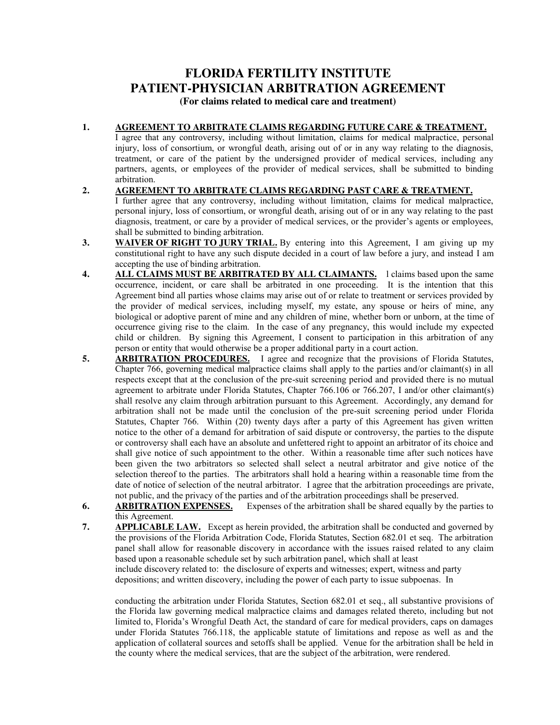# **FLORIDA FERTILITY INSTITUTE PATIENT-PHYSICIAN ARBITRATION AGREEMENT**

**(For claims related to medical care and treatment)**

### **1. AGREEMENT TO ARBITRATE CLAIMS REGARDING FUTURE CARE & TREATMENT.**

I agree that any controversy, including without limitation, claims for medical malpractice, personal injury, loss of consortium, or wrongful death, arising out of or in any way relating to the diagnosis, treatment, or care of the patient by the undersigned provider of medical services, including any partners, agents, or employees of the provider of medical services, shall be submitted to binding arbitration.

- **2. AGREEMENT TO ARBITRATE CLAIMS REGARDING PAST CARE & TREATMENT.** I further agree that any controversy, including without limitation, claims for medical malpractice, personal injury, loss of consortium, or wrongful death, arising out of or in any way relating to the past diagnosis, treatment, or care by a provider of medical services, or the provider's agents or employees, shall be submitted to binding arbitration.
- **3. WAIVER OF RIGHT TO JURY TRIAL.** By entering into this Agreement, I am giving up my constitutional right to have any such dispute decided in a court of law before a jury, and instead I am accepting the use of binding arbitration.
- 4. ALL CLAIMS MUST BE ARBITRATED BY ALL CLAIMANTS. l claims based upon the same occurrence, incident, or care shall be arbitrated in one proceeding. It is the intention that this Agreement bind all parties whose claims may arise out of or relate to treatment or services provided by the provider of medical services, including myself, my estate, any spouse or heirs of mine, any biological or adoptive parent of mine and any children of mine, whether born or unborn, at the time of occurrence giving rise to the claim. In the case of any pregnancy, this would include my expected child or children. By signing this Agreement, I consent to participation in this arbitration of any person or entity that would otherwise be a proper additional party in a court action.
- **5. ARBITRATION PROCEDURES.** I agree and recognize that the provisions of Florida Statutes, Chapter 766, governing medical malpractice claims shall apply to the parties and/or claimant(s) in all respects except that at the conclusion of the pre-suit screening period and provided there is no mutual agreement to arbitrate under Florida Statutes, Chapter 766.106 or 766.207, I and/or other claimant(s) shall resolve any claim through arbitration pursuant to this Agreement. Accordingly, any demand for arbitration shall not be made until the conclusion of the pre-suit screening period under Florida Statutes, Chapter 766. Within (20) twenty days after a party of this Agreement has given written notice to the other of a demand for arbitration of said dispute or controversy, the parties to the dispute or controversy shall each have an absolute and unfettered right to appoint an arbitrator of its choice and shall give notice of such appointment to the other. Within a reasonable time after such notices have been given the two arbitrators so selected shall select a neutral arbitrator and give notice of the selection thereof to the parties. The arbitrators shall hold a hearing within a reasonable time from the date of notice of selection of the neutral arbitrator. I agree that the arbitration proceedings are private, not public, and the privacy of the parties and of the arbitration proceedings shall be preserved.
- **6. ARBITRATION EXPENSES.** Expenses of the arbitration shall be shared equally by the parties to this Agreement.
- **7. APPLICABLE LAW.** Except as herein provided, the arbitration shall be conducted and governed by the provisions of the Florida Arbitration Code, Florida Statutes, Section 682.01 et seq. The arbitration panel shall allow for reasonable discovery in accordance with the issues raised related to any claim based upon a reasonable schedule set by such arbitration panel, which shall at least include discovery related to: the disclosure of experts and witnesses; expert, witness and party depositions; and written discovery, including the power of each party to issue subpoenas. In

conducting the arbitration under Florida Statutes, Section 682.01 et seq., all substantive provisions of the Florida law governing medical malpractice claims and damages related thereto, including but not limited to, Florida's Wrongful Death Act, the standard of care for medical providers, caps on damages under Florida Statutes 766.118, the applicable statute of limitations and repose as well as and the application of collateral sources and setoffs shall be applied. Venue for the arbitration shall be held in the county where the medical services, that are the subject of the arbitration, were rendered.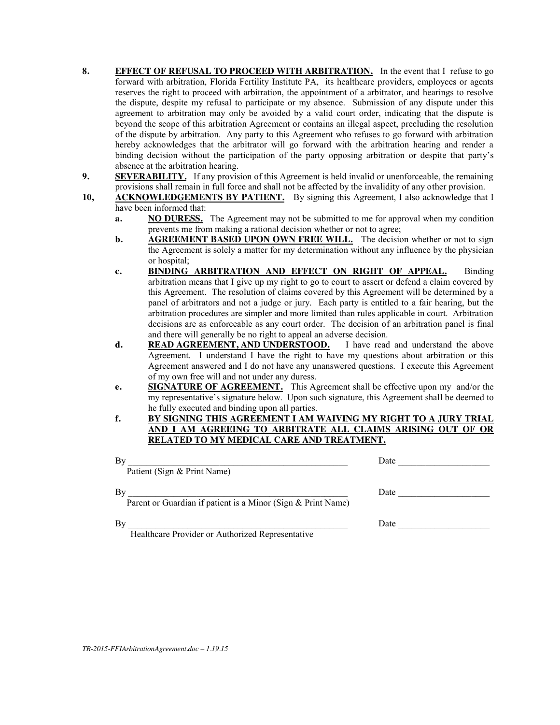- **8. EFFECT OF REFUSAL TO PROCEED WITH ARBITRATION.** In the event that I refuse to go forward with arbitration, Florida Fertility Institute PA, its healthcare providers, employees or agents reserves the right to proceed with arbitration, the appointment of a arbitrator, and hearings to resolve the dispute, despite my refusal to participate or my absence. Submission of any dispute under this agreement to arbitration may only be avoided by a valid court order, indicating that the dispute is beyond the scope of this arbitration Agreement or contains an illegal aspect, precluding the resolution of the dispute by arbitration. Any party to this Agreement who refuses to go forward with arbitration hereby acknowledges that the arbitrator will go forward with the arbitration hearing and render a binding decision without the participation of the party opposing arbitration or despite that party's absence at the arbitration hearing.
- **9. SEVERABILITY.** If any provision of this Agreement is held invalid or unenforceable, the remaining provisions shall remain in full force and shall not be affected by the invalidity of any other provision.
- **10, ACKNOWLEDGEMENTS BY PATIENT.** By signing this Agreement, I also acknowledge that I have been informed that:
	- **a. NO DURESS.** The Agreement may not be submitted to me for approval when my condition prevents me from making a rational decision whether or not to agree;
	- **b. AGREEMENT BASED UPON OWN FREE WILL.** The decision whether or not to sign the Agreement is solely a matter for my determination without any influence by the physician or hospital;
	- **c. BINDING ARBITRATION AND EFFECT ON RIGHT OF APPEAL.** Binding arbitration means that I give up my right to go to court to assert or defend a claim covered by this Agreement. The resolution of claims covered by this Agreement will be determined by a panel of arbitrators and not a judge or jury. Each party is entitled to a fair hearing, but the arbitration procedures are simpler and more limited than rules applicable in court. Arbitration decisions are as enforceable as any court order. The decision of an arbitration panel is final and there will generally be no right to appeal an adverse decision.
	- **d. READ AGREEMENT, AND UNDERSTOOD.** I have read and understand the above Agreement. I understand I have the right to have my questions about arbitration or this Agreement answered and I do not have any unanswered questions. I execute this Agreement of my own free will and not under any duress.
	- **e. SIGNATURE OF AGREEMENT.** This Agreement shall be effective upon my and/or the my representative's signature below. Upon such signature, this Agreement shall be deemed to he fully executed and binding upon all parties.
	- **f. BY SIGNING THIS AGREEMENT I AM WAIVING MY RIGHT TO A JURY TRIAL AND I AM AGREEING TO ARBITRATE ALL CLAIMS ARISING OUT OF OR RELATED TO MY MEDICAL CARE AND TREATMENT.**

| Bv<br>Patient (Sign & Print Name)                                  | Date |
|--------------------------------------------------------------------|------|
| Bv<br>Parent or Guardian if patient is a Minor (Sign & Print Name) | Date |
| Bv<br>Healthcare Provider or Authorized Representative             | Date |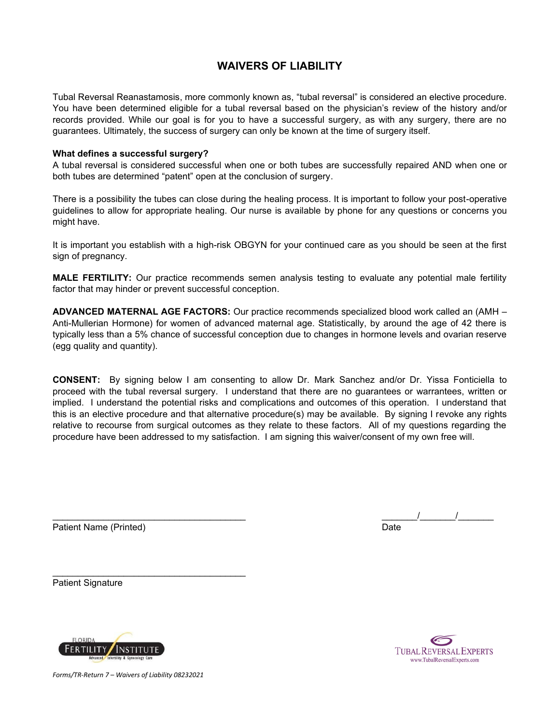# **WAIVERS OF LIABILITY**

Tubal Reversal Reanastamosis, more commonly known as, "tubal reversal" is considered an elective procedure. You have been determined eligible for a tubal reversal based on the physician's review of the history and/or records provided. While our goal is for you to have a successful surgery, as with any surgery, there are no guarantees. Ultimately, the success of surgery can only be known at the time of surgery itself.

### **What defines a successful surgery?**

A tubal reversal is considered successful when one or both tubes are successfully repaired AND when one or both tubes are determined "patent" open at the conclusion of surgery.

There is a possibility the tubes can close during the healing process. It is important to follow your post-operative guidelines to allow for appropriate healing. Our nurse is available by phone for any questions or concerns you might have.

It is important you establish with a high-risk OBGYN for your continued care as you should be seen at the first sign of pregnancy.

**MALE FERTILITY:** Our practice recommends semen analysis testing to evaluate any potential male fertility factor that may hinder or prevent successful conception.

**ADVANCED MATERNAL AGE FACTORS:** Our practice recommends specialized blood work called an (AMH – Anti-Mullerian Hormone) for women of advanced maternal age. Statistically, by around the age of 42 there is typically less than a 5% chance of successful conception due to changes in hormone levels and ovarian reserve (egg quality and quantity).

**CONSENT:** By signing below I am consenting to allow Dr. Mark Sanchez and/or Dr. Yissa Fonticiella to proceed with the tubal reversal surgery. I understand that there are no guarantees or warrantees, written or implied. I understand the potential risks and complications and outcomes of this operation. I understand that this is an elective procedure and that alternative procedure(s) may be available. By signing I revoke any rights relative to recourse from surgical outcomes as they relate to these factors. All of my questions regarding the procedure have been addressed to my satisfaction. I am signing this waiver/consent of my own free will.

Patient Name (Printed) and Date and Date and Date and Date and Date and Date and Date and Date and Date and Date

\_\_\_\_\_\_\_\_\_\_\_\_\_\_\_\_\_\_\_\_\_\_\_\_\_\_\_\_\_\_\_\_\_\_\_\_\_\_ \_\_\_\_\_\_\_/\_\_\_\_\_\_\_/\_\_\_\_\_\_\_

Patient Signature



**TUBAL REVERSAL EXPERTS** www.TubalReversalExperts.com

*Forms/TR-Return 7 – Waivers of Liability 08232021*

 $\mathcal{L}_\text{max}$  , and the set of the set of the set of the set of the set of the set of the set of the set of the set of the set of the set of the set of the set of the set of the set of the set of the set of the set of the